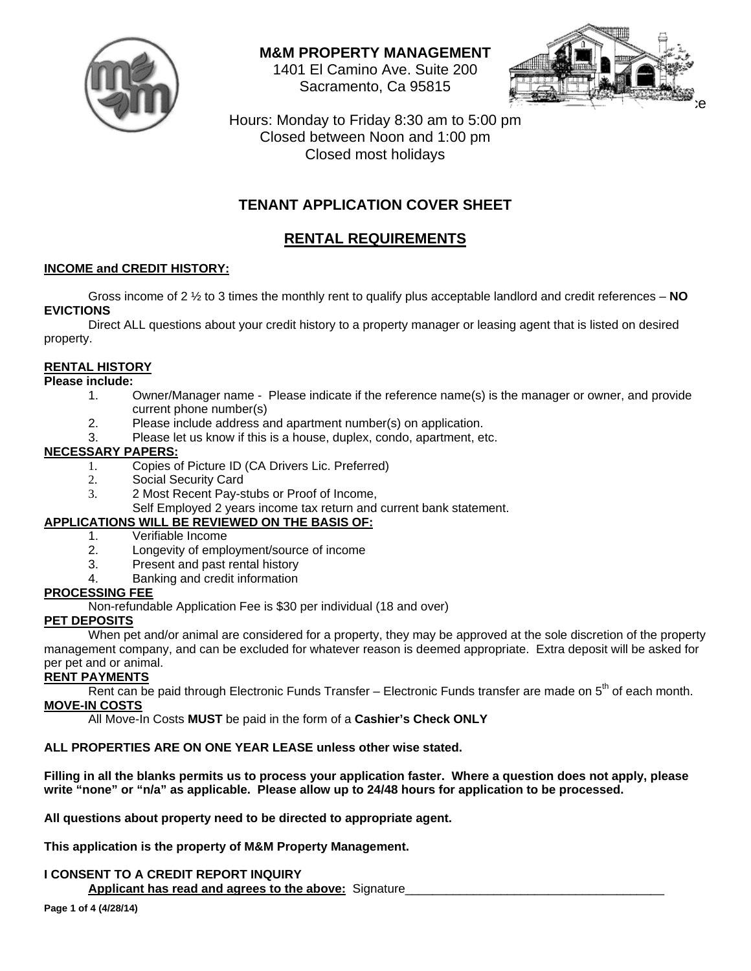

**M&M PROPERTY MANAGEMENT** 

1401 El Camino Ave. Suite 200 Sacramento, Ca 95815



Hours: Monday to Friday 8:30 am to 5:00 pm Closed between Noon and 1:00 pm Closed most holidays

## **TENANT APPLICATION COVER SHEET**

## **RENTAL REQUIREMENTS**

#### **INCOME and CREDIT HISTORY:**

 Gross income of 2 ½ to 3 times the monthly rent to qualify plus acceptable landlord and credit references – **NO EVICTIONS**

 Direct ALL questions about your credit history to a property manager or leasing agent that is listed on desired property.

### **RENTAL HISTORY**

#### **Please include:**

- 1. Owner/Manager name Please indicate if the reference name(s) is the manager or owner, and provide current phone number(s)
- 2. Please include address and apartment number(s) on application.
- 3. Please let us know if this is a house, duplex, condo, apartment, etc.

#### **NECESSARY PAPERS:**

- 1. Copies of Picture ID (CA Drivers Lic. Preferred)
- 2. Social Security Card
- 3. 2 Most Recent Pay-stubs or Proof of Income,
	- Self Employed 2 years income tax return and current bank statement.

#### **APPLICATIONS WILL BE REVIEWED ON THE BASIS OF:**

- 1. Verifiable Income
- 2. Longevity of employment/source of income
- 3. Present and past rental history
- 4. Banking and credit information

#### **PROCESSING FEE**

Non-refundable Application Fee is \$30 per individual (18 and over)

#### **PET DEPOSITS**

 When pet and/or animal are considered for a property, they may be approved at the sole discretion of the property management company, and can be excluded for whatever reason is deemed appropriate. Extra deposit will be asked for per pet and or animal.

#### **RENT PAYMENTS**

Rent can be paid through Electronic Funds Transfer – Electronic Funds transfer are made on  $5<sup>th</sup>$  of each month. **MOVE-IN COSTS**

All Move-In Costs **MUST** be paid in the form of a **Cashier's Check ONLY**

### **ALL PROPERTIES ARE ON ONE YEAR LEASE unless other wise stated.**

**Filling in all the blanks permits us to process your application faster. Where a question does not apply, please write "none" or "n/a" as applicable. Please allow up to 24/48 hours for application to be processed.** 

**All questions about property need to be directed to appropriate agent.** 

**This application is the property of M&M Property Management.** 

#### **I CONSENT TO A CREDIT REPORT INQUIRY**  Applicant has read and agrees to the above: Signature\_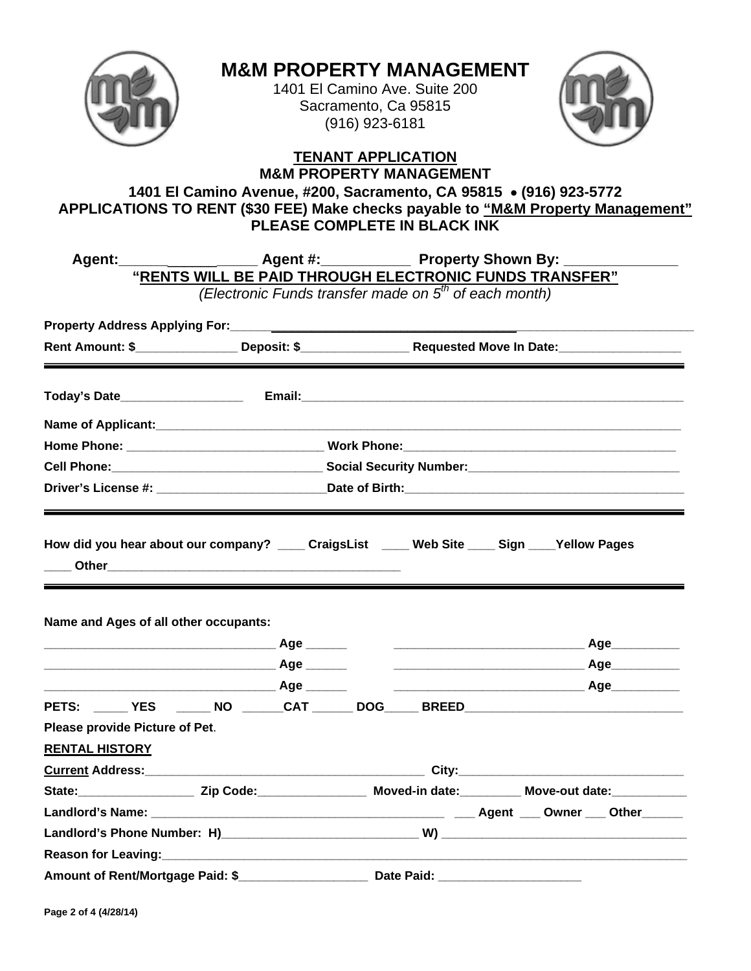

# **M&M PROPERTY MANAGEMENT**

1401 El Camino Ave. Suite 200 Sacramento, Ca 95815 (916) 923-6181



#### **TENANT APPLICATION M&M PROPERTY MANAGEMENT**

**1401 El Camino Avenue, #200, Sacramento, CA 95815 (916) 923-5772 APPLICATIONS TO RENT (\$30 FEE) Make checks payable to "M&M Property Management" PLEASE COMPLETE IN BLACK INK** 

| Agent: Agent #: Agent #: Property Shown By:                                                                     |                                                        |  |            |                                                                   |  |                                                                                                                                                                                                                                      |  |
|-----------------------------------------------------------------------------------------------------------------|--------------------------------------------------------|--|------------|-------------------------------------------------------------------|--|--------------------------------------------------------------------------------------------------------------------------------------------------------------------------------------------------------------------------------------|--|
|                                                                                                                 | "RENTS WILL BE PAID THROUGH ELECTRONIC FUNDS TRANSFER" |  |            | (Electronic Funds transfer made on 5 <sup>th</sup> of each month) |  |                                                                                                                                                                                                                                      |  |
|                                                                                                                 |                                                        |  |            |                                                                   |  |                                                                                                                                                                                                                                      |  |
|                                                                                                                 |                                                        |  |            |                                                                   |  |                                                                                                                                                                                                                                      |  |
| Rent Amount: \$ Deposit: \$ Deposit: \$ Requested Move In Date:                                                 |                                                        |  |            |                                                                   |  |                                                                                                                                                                                                                                      |  |
|                                                                                                                 |                                                        |  |            |                                                                   |  |                                                                                                                                                                                                                                      |  |
|                                                                                                                 |                                                        |  |            |                                                                   |  |                                                                                                                                                                                                                                      |  |
|                                                                                                                 |                                                        |  |            |                                                                   |  |                                                                                                                                                                                                                                      |  |
|                                                                                                                 |                                                        |  |            |                                                                   |  |                                                                                                                                                                                                                                      |  |
|                                                                                                                 |                                                        |  |            |                                                                   |  |                                                                                                                                                                                                                                      |  |
| Name and Ages of all other occupants:                                                                           |                                                        |  |            |                                                                   |  |                                                                                                                                                                                                                                      |  |
|                                                                                                                 |                                                        |  |            |                                                                   |  |                                                                                                                                                                                                                                      |  |
|                                                                                                                 |                                                        |  |            |                                                                   |  |                                                                                                                                                                                                                                      |  |
|                                                                                                                 |                                                        |  |            |                                                                   |  |                                                                                                                                                                                                                                      |  |
| PETS: ______ YES _______ NO ______ CAT ______ DOG_____ BREED ____________________                               |                                                        |  |            |                                                                   |  |                                                                                                                                                                                                                                      |  |
| Please provide Picture of Pet.                                                                                  |                                                        |  |            |                                                                   |  |                                                                                                                                                                                                                                      |  |
| <b>RENTAL HISTORY</b>                                                                                           |                                                        |  |            |                                                                   |  |                                                                                                                                                                                                                                      |  |
|                                                                                                                 |                                                        |  |            |                                                                   |  |                                                                                                                                                                                                                                      |  |
| State: ________________________Zip Code: _________________________Moved-in date: ________________Move-out date: |                                                        |  |            |                                                                   |  |                                                                                                                                                                                                                                      |  |
|                                                                                                                 |                                                        |  |            |                                                                   |  |                                                                                                                                                                                                                                      |  |
|                                                                                                                 |                                                        |  |            |                                                                   |  |                                                                                                                                                                                                                                      |  |
|                                                                                                                 |                                                        |  |            |                                                                   |  |                                                                                                                                                                                                                                      |  |
| Amount of Rent/Mortgage Paid: \$                                                                                |                                                        |  | Date Paid: |                                                                   |  | <u> Alexandria de Caractería de Caractería do Caractería do Caractería do Caractería do Caractería do Caractería do Caractería do Caractería do Caractería do Caractería do Caractería do Caractería do Caractería do Caractería</u> |  |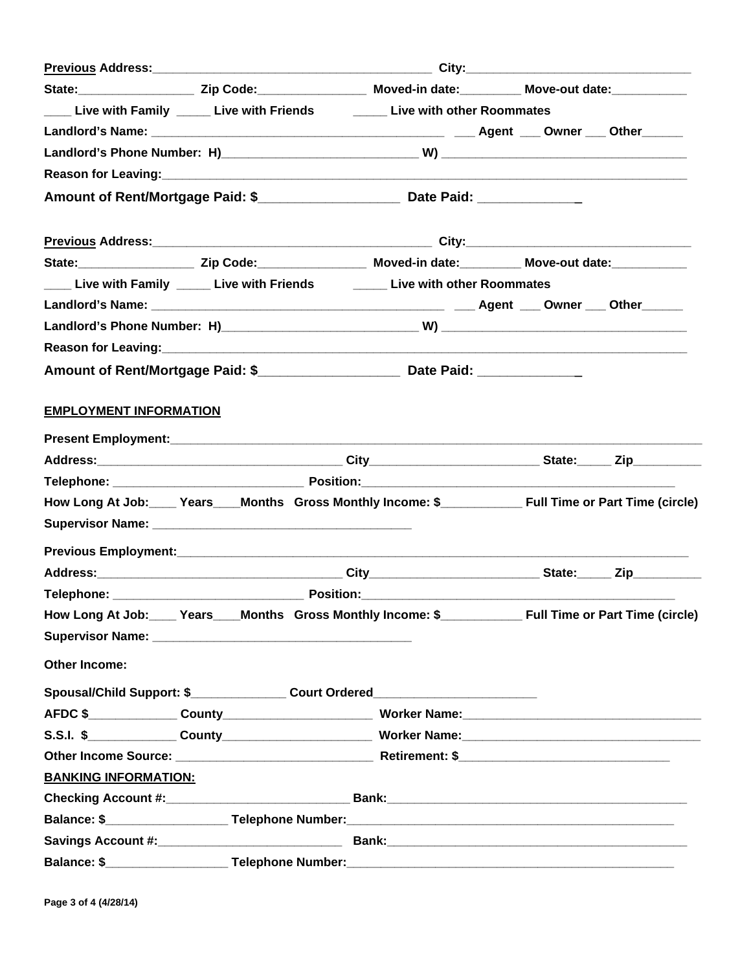| State: ________________________Zip Code: ________________________Moved-in date: _______________Move-out date: ______________ |  |  |  |
|------------------------------------------------------------------------------------------------------------------------------|--|--|--|
| Live with Family _____ Live with Friends ________ Live with other Roommates                                                  |  |  |  |
|                                                                                                                              |  |  |  |
|                                                                                                                              |  |  |  |
|                                                                                                                              |  |  |  |
|                                                                                                                              |  |  |  |
|                                                                                                                              |  |  |  |
| State: ________________________Zip Code: ________________________Moved-in date: _________________Move-out date:              |  |  |  |
| ____ Live with Family _____ Live with Friends ________ Live with other Roommates                                             |  |  |  |
|                                                                                                                              |  |  |  |
|                                                                                                                              |  |  |  |
|                                                                                                                              |  |  |  |
| Amount of Rent/Mortgage Paid: \$__________________________ Date Paid: ____________                                           |  |  |  |
| <b>EMPLOYMENT INFORMATION</b>                                                                                                |  |  |  |
|                                                                                                                              |  |  |  |
|                                                                                                                              |  |  |  |
|                                                                                                                              |  |  |  |
|                                                                                                                              |  |  |  |
|                                                                                                                              |  |  |  |
|                                                                                                                              |  |  |  |
|                                                                                                                              |  |  |  |
|                                                                                                                              |  |  |  |
|                                                                                                                              |  |  |  |
|                                                                                                                              |  |  |  |
| <b>Other Income:</b>                                                                                                         |  |  |  |
| Spousal/Child Support: \$_________________ Court Ordered_________________________                                            |  |  |  |
|                                                                                                                              |  |  |  |
|                                                                                                                              |  |  |  |
|                                                                                                                              |  |  |  |
| <b>BANKING INFORMATION:</b>                                                                                                  |  |  |  |
|                                                                                                                              |  |  |  |
|                                                                                                                              |  |  |  |
|                                                                                                                              |  |  |  |
|                                                                                                                              |  |  |  |